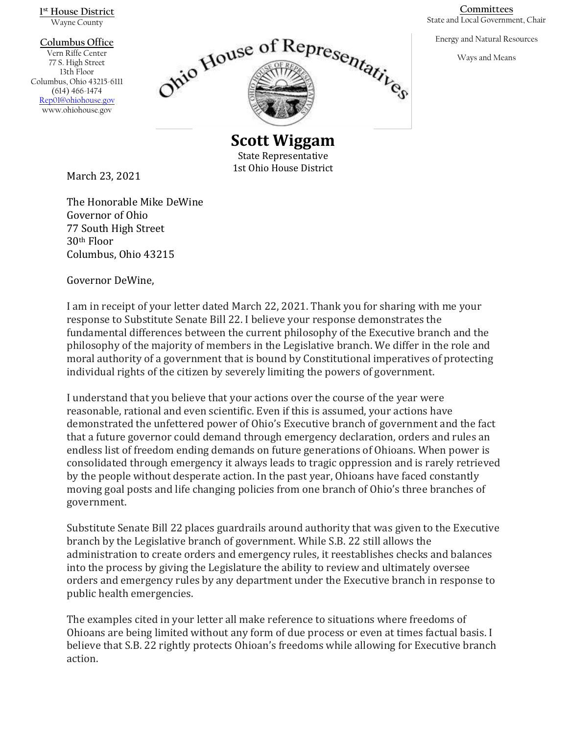**1 st House District** Wayne County

#### **Columbus Office**

Vern Riffe Center 77 S. High Street 13th Floor Columbus, Ohio 43215-6111 (614) 466-1474 [Rep01@ohiohouse.gov](mailto:Rep01@ohiohouse.gov) www.ohiohouse.gov



**Scott Wiggam** State Representative 1st Ohio House District

March 23, 2021

The Honorable Mike DeWine Governor of Ohio 77 South High Street 30th Floor Columbus, Ohio 43215

Governor DeWine,

I am in receipt of your letter dated March 22, 2021. Thank you for sharing with me your response to Substitute Senate Bill 22. I believe your response demonstrates the fundamental differences between the current philosophy of the Executive branch and the philosophy of the majority of members in the Legislative branch. We differ in the role and moral authority of a government that is bound by Constitutional imperatives of protecting individual rights of the citizen by severely limiting the powers of government.

I understand that you believe that your actions over the course of the year were reasonable, rational and even scientific. Even if this is assumed, your actions have demonstrated the unfettered power of Ohio's Executive branch of government and the fact that a future governor could demand through emergency declaration, orders and rules an endless list of freedom ending demands on future generations of Ohioans. When power is consolidated through emergency it always leads to tragic oppression and is rarely retrieved by the people without desperate action. In the past year, Ohioans have faced constantly moving goal posts and life changing policies from one branch of Ohio's three branches of government.

Substitute Senate Bill 22 places guardrails around authority that was given to the Executive branch by the Legislative branch of government. While S.B. 22 still allows the administration to create orders and emergency rules, it reestablishes checks and balances into the process by giving the Legislature the ability to review and ultimately oversee orders and emergency rules by any department under the Executive branch in response to public health emergencies.

The examples cited in your letter all make reference to situations where freedoms of Ohioans are being limited without any form of due process or even at times factual basis. I believe that S.B. 22 rightly protects Ohioan's freedoms while allowing for Executive branch action.

**Committees** State and Local Government, Chair

Energy and Natural Resources

Ways and Means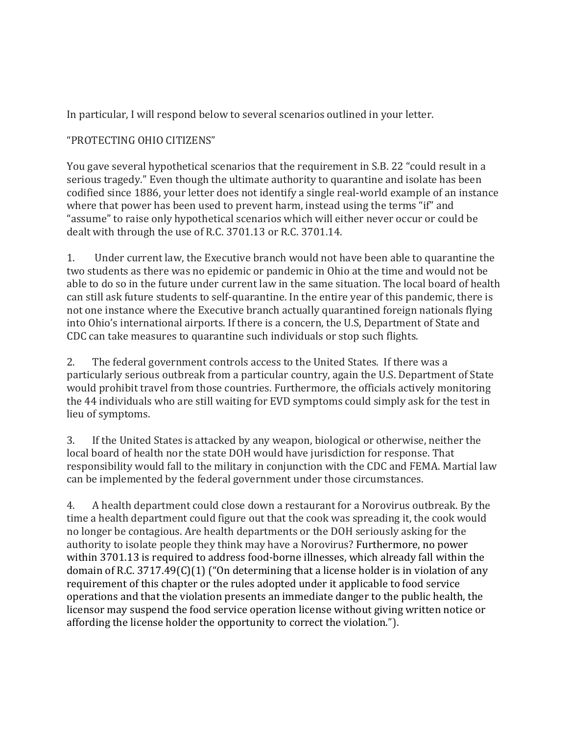In particular, I will respond below to several scenarios outlined in your letter.

# "PROTECTING OHIO CITIZENS"

You gave several hypothetical scenarios that the requirement in S.B. 22 "could result in a serious tragedy." Even though the ultimate authority to quarantine and isolate has been codified since 1886, your letter does not identify a single real-world example of an instance where that power has been used to prevent harm, instead using the terms "if" and "assume" to raise only hypothetical scenarios which will either never occur or could be dealt with through the use of R.C. 3701.13 or R.C. 3701.14.

1. Under current law, the Executive branch would not have been able to quarantine the two students as there was no epidemic or pandemic in Ohio at the time and would not be able to do so in the future under current law in the same situation. The local board of health can still ask future students to self-quarantine. In the entire year of this pandemic, there is not one instance where the Executive branch actually quarantined foreign nationals flying into Ohio's international airports. If there is a concern, the U.S, Department of State and CDC can take measures to quarantine such individuals or stop such flights.

2. The federal government controls access to the United States. If there was a particularly serious outbreak from a particular country, again the U.S. Department of State would prohibit travel from those countries. Furthermore, the officials actively monitoring the 44 individuals who are still waiting for EVD symptoms could simply ask for the test in lieu of symptoms.

3. If the United States is attacked by any weapon, biological or otherwise, neither the local board of health nor the state DOH would have jurisdiction for response. That responsibility would fall to the military in conjunction with the CDC and FEMA. Martial law can be implemented by the federal government under those circumstances.

4. A health department could close down a restaurant for a Norovirus outbreak. By the time a health department could figure out that the cook was spreading it, the cook would no longer be contagious. Are health departments or the DOH seriously asking for the authority to isolate people they think may have a Norovirus? Furthermore, no power within 3701.13 is required to address food-borne illnesses, which already fall within the domain of R.C. 3717.49(C)(1) ("On determining that a license holder is in violation of any requirement of this chapter or the rules adopted under it applicable to food service operations and that the violation presents an immediate danger to the public health, the licensor may suspend the food service operation license without giving written notice or affording the license holder the opportunity to correct the violation.").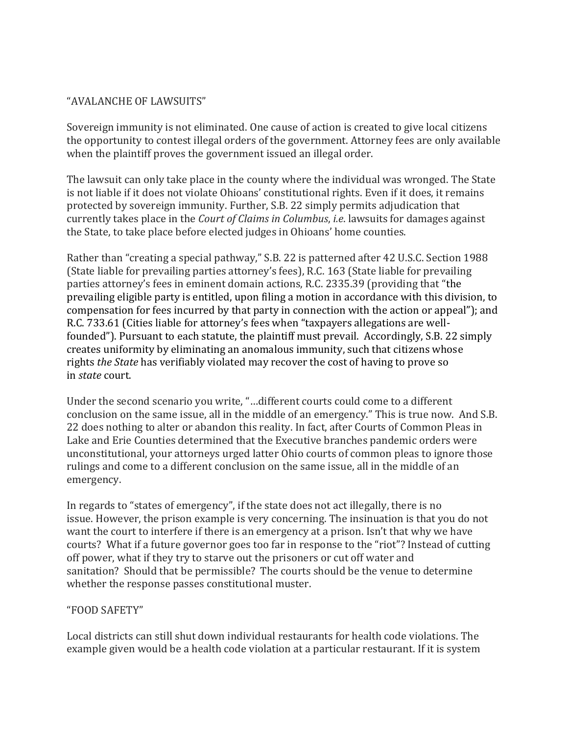## "AVALANCHE OF LAWSUITS"

Sovereign immunity is not eliminated. One cause of action is created to give local citizens the opportunity to contest illegal orders of the government. Attorney fees are only available when the plaintiff proves the government issued an illegal order.

The lawsuit can only take place in the county where the individual was wronged. The State is not liable if it does not violate Ohioans' constitutional rights. Even if it does, it remains protected by sovereign immunity. Further, S.B. 22 simply permits adjudication that currently takes place in the *Court of Claims in Columbus*, *i.e*. lawsuits for damages against the State, to take place before elected judges in Ohioans' home counties.

Rather than "creating a special pathway," S.B. 22 is patterned after 42 U.S.C. Section 1988 (State liable for prevailing parties attorney's fees), R.C. 163 (State liable for prevailing parties attorney's fees in eminent domain actions, R.C. 2335.39 (providing that "the prevailing eligible party is entitled, upon filing a motion in accordance with this division, to compensation for fees incurred by that party in connection with the action or appeal"); and R.C. 733.61 (Cities liable for attorney's fees when "taxpayers allegations are wellfounded"). Pursuant to each statute, the plaintiff must prevail. Accordingly, S.B. 22 simply creates uniformity by eliminating an anomalous immunity, such that citizens whose rights *the State* has verifiably violated may recover the cost of having to prove so in *state* court.

Under the second scenario you write, "…different courts could come to a different conclusion on the same issue, all in the middle of an emergency." This is true now. And S.B. 22 does nothing to alter or abandon this reality. In fact, after Courts of Common Pleas in Lake and Erie Counties determined that the Executive branches pandemic orders were unconstitutional, your attorneys urged latter Ohio courts of common pleas to ignore those rulings and come to a different conclusion on the same issue, all in the middle of an emergency.

In regards to "states of emergency", if the state does not act illegally, there is no issue. However, the prison example is very concerning. The insinuation is that you do not want the court to interfere if there is an emergency at a prison. Isn't that why we have courts? What if a future governor goes too far in response to the "riot"? Instead of cutting off power, what if they try to starve out the prisoners or cut off water and sanitation? Should that be permissible? The courts should be the venue to determine whether the response passes constitutional muster.

## "FOOD SAFETY"

Local districts can still shut down individual restaurants for health code violations. The example given would be a health code violation at a particular restaurant. If it is system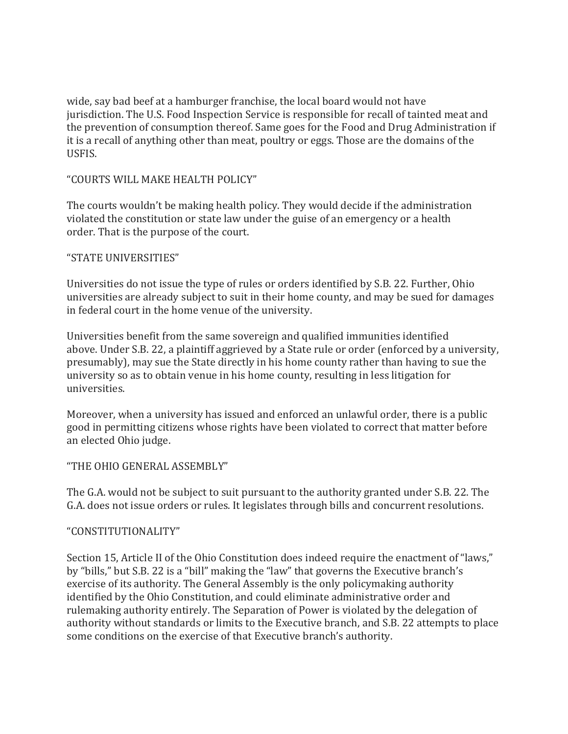wide, say bad beef at a hamburger franchise, the local board would not have jurisdiction. The U.S. Food Inspection Service is responsible for recall of tainted meat and the prevention of consumption thereof. Same goes for the Food and Drug Administration if it is a recall of anything other than meat, poultry or eggs. Those are the domains of the USFIS.

## "COURTS WILL MAKE HEALTH POLICY"

The courts wouldn't be making health policy. They would decide if the administration violated the constitution or state law under the guise of an emergency or a health order. That is the purpose of the court.

## "STATE UNIVERSITIES"

Universities do not issue the type of rules or orders identified by S.B. 22. Further, Ohio universities are already subject to suit in their home county, and may be sued for damages in federal court in the home venue of the university.

Universities benefit from the same sovereign and qualified immunities identified above. Under S.B. 22, a plaintiff aggrieved by a State rule or order (enforced by a university, presumably), may sue the State directly in his home county rather than having to sue the university so as to obtain venue in his home county, resulting in less litigation for universities.

Moreover, when a university has issued and enforced an unlawful order, there is a public good in permitting citizens whose rights have been violated to correct that matter before an elected Ohio judge.

## "THE OHIO GENERAL ASSEMBLY"

The G.A. would not be subject to suit pursuant to the authority granted under S.B. 22. The G.A. does not issue orders or rules. It legislates through bills and concurrent resolutions.

#### "CONSTITUTIONALITY"

Section 15, Article II of the Ohio Constitution does indeed require the enactment of "laws," by "bills," but S.B. 22 is a "bill" making the "law" that governs the Executive branch's exercise of its authority. The General Assembly is the only policymaking authority identified by the Ohio Constitution, and could eliminate administrative order and rulemaking authority entirely. The Separation of Power is violated by the delegation of authority without standards or limits to the Executive branch, and S.B. 22 attempts to place some conditions on the exercise of that Executive branch's authority.